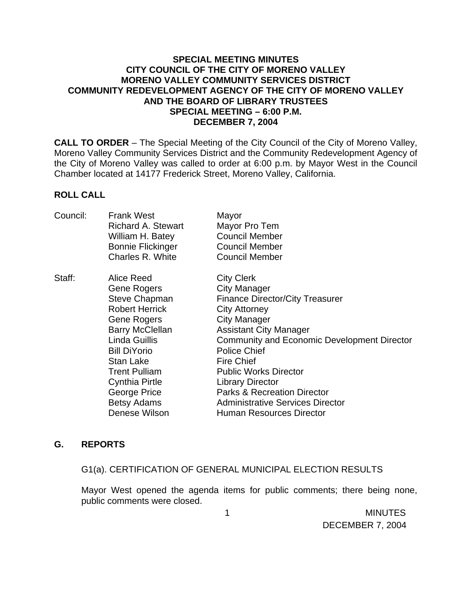### **SPECIAL MEETING MINUTES CITY COUNCIL OF THE CITY OF MORENO VALLEY MORENO VALLEY COMMUNITY SERVICES DISTRICT COMMUNITY REDEVELOPMENT AGENCY OF THE CITY OF MORENO VALLEY AND THE BOARD OF LIBRARY TRUSTEES SPECIAL MEETING – 6:00 P.M. DECEMBER 7, 2004**

**CALL TO ORDER** – The Special Meeting of the City Council of the City of Moreno Valley, Moreno Valley Community Services District and the Community Redevelopment Agency of the City of Moreno Valley was called to order at 6:00 p.m. by Mayor West in the Council Chamber located at 14177 Frederick Street, Moreno Valley, California.

### **ROLL CALL**

| Council: | <b>Frank West</b><br>Richard A. Stewart<br>William H. Batey<br><b>Bonnie Flickinger</b><br>Charles R. White                                                                                                                                                               | Mayor<br>Mayor Pro Tem<br><b>Council Member</b><br><b>Council Member</b><br><b>Council Member</b>                                                                                                                                                                                                                                                                                                                                                       |
|----------|---------------------------------------------------------------------------------------------------------------------------------------------------------------------------------------------------------------------------------------------------------------------------|---------------------------------------------------------------------------------------------------------------------------------------------------------------------------------------------------------------------------------------------------------------------------------------------------------------------------------------------------------------------------------------------------------------------------------------------------------|
| Staff:   | Alice Reed<br>Gene Rogers<br>Steve Chapman<br><b>Robert Herrick</b><br>Gene Rogers<br>Barry McClellan<br>Linda Guillis<br><b>Bill DiYorio</b><br><b>Stan Lake</b><br><b>Trent Pulliam</b><br><b>Cynthia Pirtle</b><br>George Price<br><b>Betsy Adams</b><br>Denese Wilson | <b>City Clerk</b><br><b>City Manager</b><br><b>Finance Director/City Treasurer</b><br><b>City Attorney</b><br><b>City Manager</b><br><b>Assistant City Manager</b><br><b>Community and Economic Development Director</b><br><b>Police Chief</b><br><b>Fire Chief</b><br><b>Public Works Director</b><br><b>Library Director</b><br><b>Parks &amp; Recreation Director</b><br><b>Administrative Services Director</b><br><b>Human Resources Director</b> |

#### **G. REPORTS**

G1(a). CERTIFICATION OF GENERAL MUNICIPAL ELECTION RESULTS

 Mayor West opened the agenda items for public comments; there being none, public comments were closed.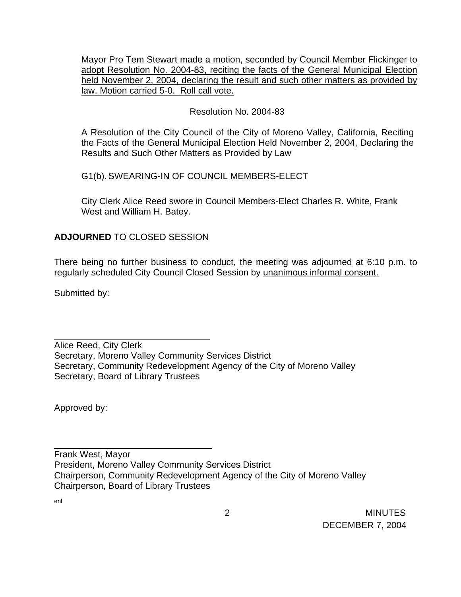Mayor Pro Tem Stewart made a motion, seconded by Council Member Flickinger to adopt Resolution No. 2004-83, reciting the facts of the General Municipal Election held November 2, 2004, declaring the result and such other matters as provided by law. Motion carried 5-0. Roll call vote.

# Resolution No. 2004-83

A Resolution of the City Council of the City of Moreno Valley, California, Reciting the Facts of the General Municipal Election Held November 2, 2004, Declaring the Results and Such Other Matters as Provided by Law

G1(b). SWEARING-IN OF COUNCIL MEMBERS-ELECT

City Clerk Alice Reed swore in Council Members-Elect Charles R. White, Frank West and William H. Batey.

## **ADJOURNED** TO CLOSED SESSION

\_\_\_\_\_\_\_\_\_\_\_\_\_\_\_\_\_\_\_\_\_\_\_\_\_\_\_\_\_\_\_

There being no further business to conduct, the meeting was adjourned at 6:10 p.m. to regularly scheduled City Council Closed Session by unanimous informal consent.

Submitted by:

Alice Reed, City Clerk Secretary, Moreno Valley Community Services District Secretary, Community Redevelopment Agency of the City of Moreno Valley Secretary, Board of Library Trustees

Approved by:

Frank West, Mayor President, Moreno Valley Community Services District Chairperson, Community Redevelopment Agency of the City of Moreno Valley Chairperson, Board of Library Trustees

enl

 $\overline{a}$